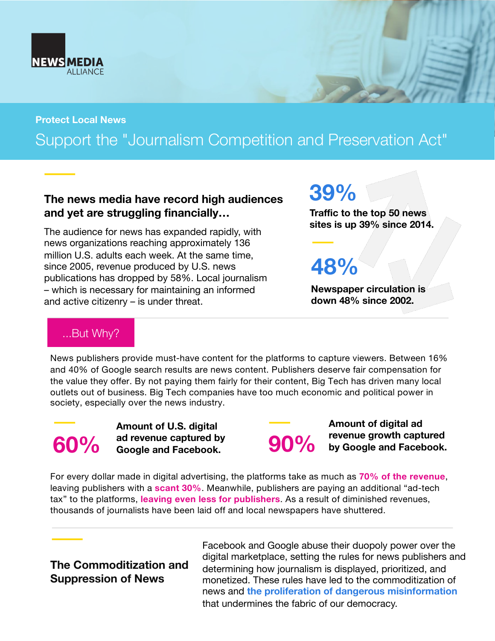

**Protect Local News** 

# Support the "Journalism Competition and Preservation Act"

#### **The news media have record high audiences and yet are struggling financially…**

The audience for news has expanded rapidly, with news organizations reaching approximately 136 million U.S. adults each week. At the same time, since 2005, revenue produced by U.S. news publications has dropped by 58%. Local journalism – which is necessary for maintaining an informed and active citizenry – is under threat.

**39%** 

**Traffic to the top 50 news sites is up 39% since 2014.**

**48%**

**Newspaper circulation is down 48% since 2002.**

## ...But Why?

News publishers provide must-have content for the platforms to capture viewers. Between 16% and 40% of Google search results are news content. Publishers deserve fair compensation for the value they offer. By not paying them fairly for their content, Big Tech has driven many local outlets out of business. Big Tech companies have too much economic and political power in society, especially over the news industry.



**Amount of U.S. digital ad revenue captured by Google and Facebook.**

**Amount of digital ad 90%** revenue growth captured by Google and Facebook.

For every dollar made in digital advertising, the platforms take as much as **70% of the revenue**, leaving publishers with a **scant 30%**. Meanwhile, publishers are paying an additional "ad-tech tax" to the platforms, **leaving even less for publishers**. As a result of diminished revenues, thousands of journalists have been laid off and local newspapers have shuttered.

### **The Commoditization and Suppression of News**

Facebook and Google abuse their duopoly power over the digital marketplace, setting the rules for news publishers and determining how journalism is displayed, prioritized, and monetized. These rules have led to the commoditization of news and **the proliferation of dangerous misinformation**  that undermines the fabric of our democracy.